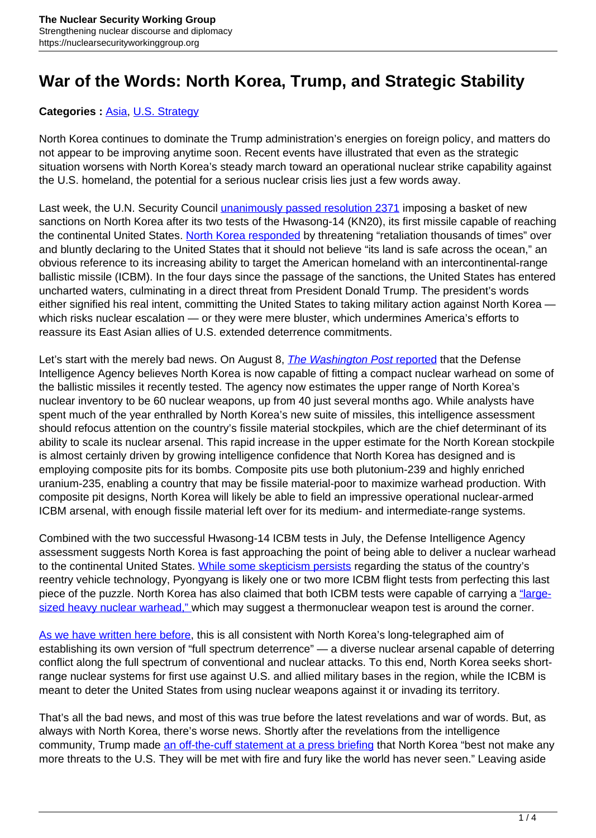## **War of the Words: North Korea, Trump, and Strategic Stability**

## Categories : [Asia,](https://nuclearsecurityworkinggroup.org/asia/) [U.S. Strategy](https://nuclearsecurityworkinggroup.org/u-s-strategy/)

North Korea continues to dominate the Trump administration's energies on foreign policy, and matters do not appear to be improving anytime soon. Recent events have illustrated that even as the strategic situation worsens with North Korea's steady march toward an operational nuclear strike capability against the U.S. homeland, the potential for a serious nuclear crisis lies just a few words away.

Last week, the U.N. Security Council *[unanimously passed resolution 2371](http://www.scmp.com/news/china/diplomacy-defence/article/2105898/chinas-backing-north-korea-sanctions-unlikely-turn-tide)* imposing a basket of new sanctions on North Korea after its two tests of the Hwasong-14 (KN20), its first missile capable of reaching the continental United States. [North Korea responded](https://www.nytimes.com/2017/08/07/world/asia/north-korea-responds-sanctions-united-states.html) by threatening "retaliation thousands of times" over and bluntly declaring to the United States that it should not believe "its land is safe across the ocean," an obvious reference to its increasing ability to target the American homeland with an intercontinental-range ballistic missile (ICBM). In the four days since the passage of the sanctions, the United States has entered uncharted waters, culminating in a direct threat from President Donald Trump. The president's words either signified his real intent, committing the United States to taking military action against North Korea which risks nuclear escalation — or they were mere bluster, which undermines America's efforts to reassure its East Asian allies of U.S. extended deterrence commitments.

Let's start with the merely bad news. On August 8, *[The](https://www.washingtonpost.com/world/national-security/north-korea-now-making-missile-ready-nuclear-weapons-us-analysts-say/2017/08/08/e14b882a-7b6b-11e7-9d08-b79f191668ed_story.html) [Washington Post](https://www.washingtonpost.com/world/national-security/north-korea-now-making-missile-ready-nuclear-weapons-us-analysts-say/2017/08/08/e14b882a-7b6b-11e7-9d08-b79f191668ed_story.html) [reported](https://www.washingtonpost.com/world/national-security/north-korea-now-making-missile-ready-nuclear-weapons-us-analysts-say/2017/08/08/e14b882a-7b6b-11e7-9d08-b79f191668ed_story.html)* that the Defense Intelligence Agency believes North Korea is now capable of fitting a compact nuclear warhead on some of the ballistic missiles it recently tested. The agency now estimates the upper range of North Korea's nuclear inventory to be 60 nuclear weapons, up from 40 just several months ago. While analysts have spent much of the year enthralled by North Korea's new suite of missiles, this intelligence assessment should refocus attention on the country's fissile material stockpiles, which are the chief determinant of its ability to scale its nuclear arsenal. This rapid increase in the upper estimate for the North Korean stockpile is almost certainly driven by growing intelligence confidence that North Korea has designed and is employing composite pits for its bombs. Composite pits use both plutonium-239 and highly enriched uranium-235, enabling a country that may be fissile material-poor to maximize warhead production. With composite pit designs, North Korea will likely be able to field an impressive operational nuclear-armed ICBM arsenal, with enough fissile material left over for its medium- and intermediate-range systems.

Combined with the two successful Hwasong-14 ICBM tests in July, the Defense Intelligence Agency assessment suggests North Korea is fast approaching the point of being able to deliver a nuclear warhead to the continental United States. [While some skepticism persists](https://www.38north.org/2017/07/melleman073117/) regarding the status of the country's reentry vehicle technology, Pyongyang is likely one or two more ICBM flight tests from perfecting this last piece of the puzzle. North Korea has also claimed that both ICBM tests were capable of carrying a ["large](http://www.cnn.com/2017/07/31/asia/north-korea-missile-test-catchup/index.html)[sized heavy nuclear warhead," w](http://www.cnn.com/2017/07/31/asia/north-korea-missile-test-catchup/index.html)hich may suggest a thermonuclear weapon test is around the corner.

[As we have written here before,](https://warontherocks.com/2017/07/north-koreas-icbm-a-new-missile-and-a-new-era/) this is all consistent with North Korea's long-telegraphed aim of establishing its own version of "full spectrum deterrence" — a diverse nuclear arsenal capable of deterring conflict along the full spectrum of conventional and nuclear attacks. To this end, North Korea seeks shortrange nuclear systems for first use against U.S. and allied military bases in the region, while the ICBM is meant to deter the United States from using nuclear weapons against it or invading its territory.

That's all the bad news, and most of this was true before the latest revelations and war of words. But, as always with North Korea, there's worse news. Shortly after the revelations from the intelligence community, Trump made [an off-the-cuff statement at a press briefing](https://www.youtube.com/watch?time_continue=2&v=H8Gx0-BtcJM) that North Korea "best not make any more threats to the U.S. They will be met with fire and fury like the world has never seen." Leaving aside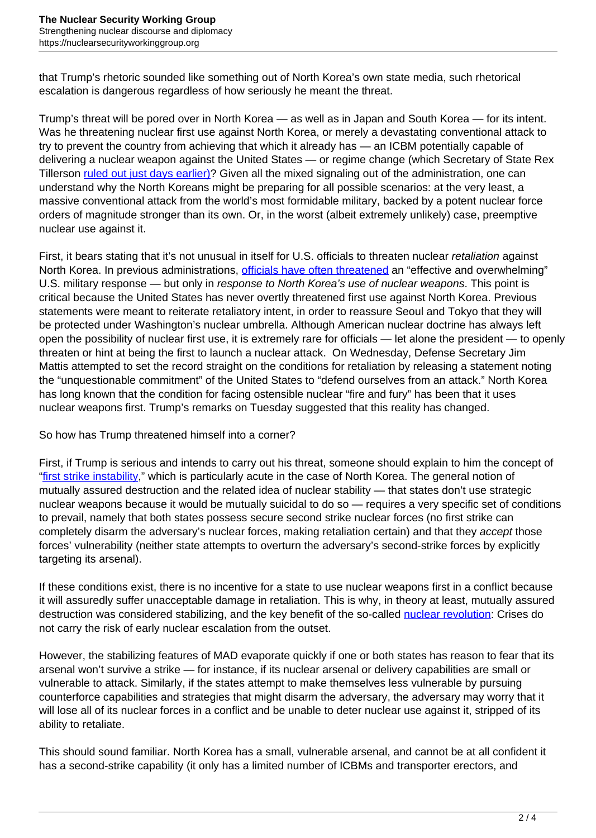that Trump's rhetoric sounded like something out of North Korea's own state media, such rhetorical escalation is dangerous regardless of how seriously he meant the threat.

Trump's threat will be pored over in North Korea — as well as in Japan and South Korea — for its intent. Was he threatening nuclear first use against North Korea, or merely a devastating conventional attack to try to prevent the country from achieving that which it already has — an ICBM potentially capable of delivering a nuclear weapon against the United States — or regime change (which Secretary of State Rex Tillerson [ruled out just days earlier\)](http://www.aljazeera.com/news/2017/08/tillerson-seeking-regime-change-north-korea-170801201028613.html)? Given all the mixed signaling out of the administration, one can understand why the North Koreans might be preparing for all possible scenarios: at the very least, a massive conventional attack from the world's most formidable military, backed by a potent nuclear force orders of magnitude stronger than its own. Or, in the worst (albeit extremely unlikely) case, preemptive nuclear use against it.

First, it bears stating that it's not unusual in itself for U.S. officials to threaten nuclear *retaliation* against North Korea. In previous administrations, [officials have often threatened](http://www.reuters.com/article/us-northkorea-nuclear-usa-idUSKCN12J29W) an "effective and overwhelming" U.S. military response — but only in response to North Korea's use of nuclear weapons. This point is critical because the United States has never overtly threatened first use against North Korea. Previous statements were meant to reiterate retaliatory intent, in order to reassure Seoul and Tokyo that they will be protected under Washington's nuclear umbrella. Although American nuclear doctrine has always left open the possibility of nuclear first use, it is extremely rare for officials — let alone the president — to openly threaten or hint at being the first to launch a nuclear attack. On Wednesday, Defense Secretary Jim Mattis attempted to set the record straight on the conditions for retaliation by releasing a statement noting the "unquestionable commitment" of the United States to "defend ourselves from an attack." North Korea has long known that the condition for facing ostensible nuclear "fire and fury" has been that it uses nuclear weapons first. Trump's remarks on Tuesday suggested that this reality has changed.

So how has Trump threatened himself into a corner?

First, if Trump is serious and intends to carry out his threat, someone should explain to him the concept of "[first strike instability,](https://www.rand.org/content/dam/rand/pubs/reports/2008/R3765.pdf)" which is particularly acute in the case of North Korea. The general notion of mutually assured destruction and the related idea of nuclear stability — that states don't use strategic nuclear weapons because it would be mutually suicidal to do so — requires a very specific set of conditions to prevail, namely that both states possess secure second strike nuclear forces (no first strike can completely disarm the adversary's nuclear forces, making retaliation certain) and that they accept those forces' vulnerability (neither state attempts to overturn the adversary's second-strike forces by explicitly targeting its arsenal).

If these conditions exist, there is no incentive for a state to use nuclear weapons first in a conflict because it will assuredly suffer unacceptable damage in retaliation. This is why, in theory at least, mutually assured destruction was considered stabilizing, and the key benefit of the so-called [nuclear revolution:](http://www.cornellpress.cornell.edu/book/?GCOI=80140100413770) Crises do not carry the risk of early nuclear escalation from the outset.

However, the stabilizing features of MAD evaporate quickly if one or both states has reason to fear that its arsenal won't survive a strike — for instance, if its nuclear arsenal or delivery capabilities are small or vulnerable to attack. Similarly, if the states attempt to make themselves less vulnerable by pursuing counterforce capabilities and strategies that might disarm the adversary, the adversary may worry that it will lose all of its nuclear forces in a conflict and be unable to deter nuclear use against it, stripped of its ability to retaliate.

This should sound familiar. North Korea has a small, vulnerable arsenal, and cannot be at all confident it has a second-strike capability (it only has a limited number of ICBMs and transporter erectors, and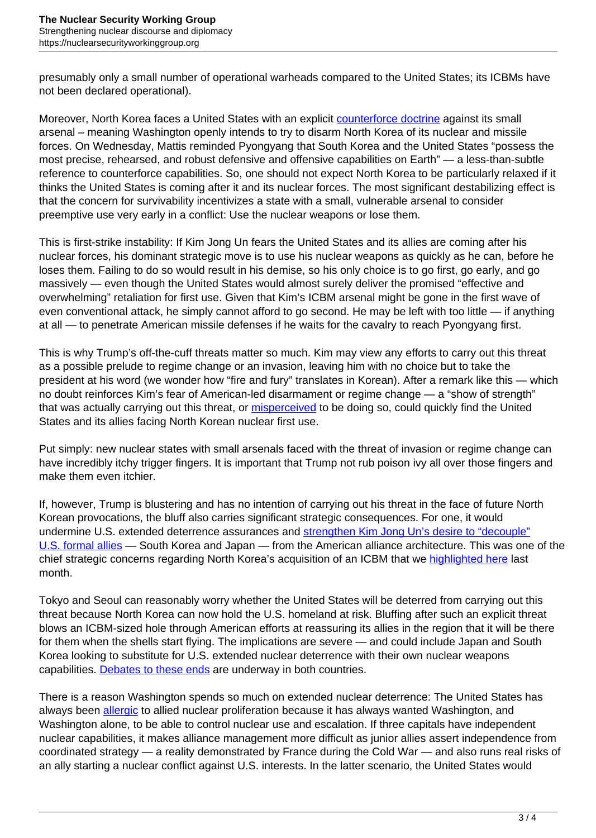presumably only a small number of operational warheads compared to the United States; its ICBMs have not been declared operational).

Moreover, North Korea faces a United States with an explicit [counterforce doctrine](http://www.mitpressjournals.org/doi/pdf/10.1162/ISEC_a_00273) against its small arsenal – meaning Washington openly intends to try to disarm North Korea of its nuclear and missile forces. On Wednesday, Mattis reminded Pyongyang that South Korea and the United States "possess the most precise, rehearsed, and robust defensive and offensive capabilities on Earth" — a less-than-subtle reference to counterforce capabilities. So, one should not expect North Korea to be particularly relaxed if it thinks the United States is coming after it and its nuclear forces. The most significant destabilizing effect is that the concern for survivability incentivizes a state with a small, vulnerable arsenal to consider preemptive use very early in a conflict: Use the nuclear weapons or lose them.

This is first-strike instability: If Kim Jong Un fears the United States and its allies are coming after his nuclear forces, his dominant strategic move is to use his nuclear weapons as quickly as he can, before he loses them. Failing to do so would result in his demise, so his only choice is to go first, go early, and go massively — even though the United States would almost surely deliver the promised "effective and overwhelming" retaliation for first use. Given that Kim's ICBM arsenal might be gone in the first wave of even conventional attack, he simply cannot afford to go second. He may be left with too little — if anything at all — to penetrate American missile defenses if he waits for the cavalry to reach Pyongyang first.

This is why Trump's off-the-cuff threats matter so much. Kim may view any efforts to carry out this threat as a possible prelude to regime change or an invasion, leaving him with no choice but to take the president at his word (we wonder how "fire and fury" translates in Korean). After a remark like this — which no doubt reinforces Kim's fear of American-led disarmament or regime change — a "show of strength" that was actually carrying out this threat, or **misperceived** to be doing so, could quickly find the United States and its allies facing North Korean nuclear first use.

Put simply: new nuclear states with small arsenals faced with the threat of invasion or regime change can have incredibly itchy trigger fingers. It is important that Trump not rub poison ivy all over those fingers and make them even itchier.

If, however, Trump is blustering and has no intention of carrying out his threat in the face of future North Korean provocations, the bluff also carries significant strategic consequences. For one, it would undermine U.S. extended deterrence assurances and [strengthen Kim Jong Un's desire to "decouple"](http://thediplomat.com/2017/05/under-trump-a-looming-north-korean-icbm-threat-brings-alliance-decoupling-fears-back-to-east-asia/) [U.S. formal allies](http://thediplomat.com/2017/05/under-trump-a-looming-north-korean-icbm-threat-brings-alliance-decoupling-fears-back-to-east-asia/) — South Korea and Japan — from the American alliance architecture. This was one of the chief strategic concerns regarding North Korea's acquisition of an ICBM that we [highlighted here](https://warontherocks.com/2017/07/north-koreas-icbm-a-new-missile-and-a-new-era/) last month.

Tokyo and Seoul can reasonably worry whether the United States will be deterred from carrying out this threat because North Korea can now hold the U.S. homeland at risk. Bluffing after such an explicit threat blows an ICBM-sized hole through American efforts at reassuring its allies in the region that it will be there for them when the shells start flying. The implications are severe — and could include Japan and South Korea looking to substitute for U.S. extended nuclear deterrence with their own nuclear weapons capabilities. [Debates to these ends](https://www.nytimes.com/2017/08/08/world/asia/north-korea-japan-missile-south.html) are underway in both countries.

There is a reason Washington spends so much on extended nuclear deterrence: The United States has always been [allergic](http://www.nicholaslmiller.com/book-project.html) to allied nuclear proliferation because it has always wanted Washington, and Washington alone, to be able to control nuclear use and escalation. If three capitals have independent nuclear capabilities, it makes alliance management more difficult as junior allies assert independence from coordinated strategy — a reality demonstrated by France during the Cold War — and also runs real risks of an ally starting a nuclear conflict against U.S. interests. In the latter scenario, the United States would